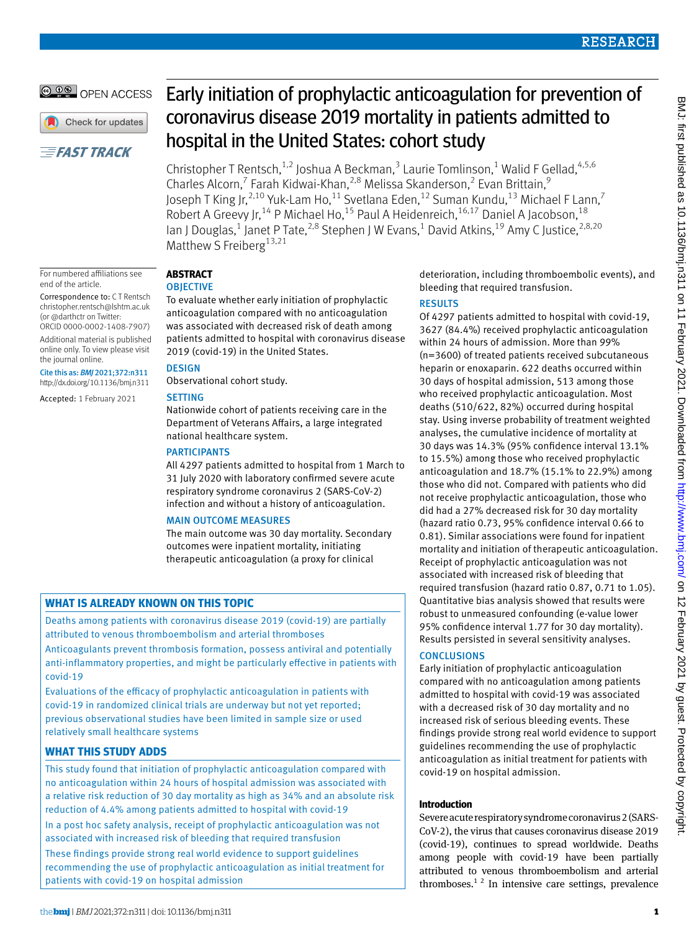# **RESEARCH**

# **@ 00 OPEN ACCESS**

Check for updates

# **EFAST TRACK**

Early initiation of prophylactic anticoagulation for prevention of coronavirus disease 2019 mortality in patients admitted to hospital in the United States: cohort study

Christopher T Rentsch,<sup>1,2</sup> Joshua A Beckman,<sup>3</sup> Laurie Tomlinson,<sup>1</sup> Walid F Gellad,  $4,5,6$ Charles Alcorn,<sup>7</sup> Farah Kidwai-Khan,<sup>2,8</sup> Melissa Skanderson,<sup>2</sup> Evan Brittain,<sup>9</sup> Joseph T King Jr, $^{2,10}$  Yuk-Lam Ho, $^{11}$  Svetlana Eden, $^{12}$  Suman Kundu, $^{13}$  Michael F Lann, $^7$ Robert A Greevy Jr,<sup>14</sup> P Michael Ho,<sup>15</sup> Paul A Heidenreich,<sup>16,17</sup> Daniel A Jacobson,<sup>18</sup> lan J Douglas,<sup>1</sup> Janet P Tate,<sup>2,8</sup> Stephen J W Evans,<sup>1</sup> David Atkins,<sup>19</sup> Amy C Justice,<sup>2,8,20</sup> Matthew S Freiberg<sup>13,21</sup>

#### For numbered affiliations see end of the article.

Correspondence to: C T Rentsch [christopher.rentsch@lshtm.ac.uk](mailto:christopher.rentsch@lshtm.ac.uk) (or [@darthctr](https://twitter.com/darthctr?lang=en) on Twitter: ORCID [0000-0002-1408-7907\)](https://orcid.org/0000-0002-1408-7907)

Additional material is published online only. To view please visit the journal online.

Cite this as: *BMJ* 2021;372:n311 http://dx.doi.org/10.1136/bmj.n311

Accepted: 1 February 2021

# **Abstract**

## **OBJECTIVE**

To evaluate whether early initiation of prophylactic anticoagulation compared with no anticoagulation was associated with decreased risk of death among patients admitted to hospital with coronavirus disease 2019 (covid-19) in the United States.

## **DESIGN**

Observational cohort study.

## **SETTING**

Nationwide cohort of patients receiving care in the Department of Veterans Affairs, a large integrated national healthcare system.

## **PARTICIPANTS**

All 4297 patients admitted to hospital from 1 March to 31 July 2020 with laboratory confirmed severe acute respiratory syndrome coronavirus 2 (SARS-CoV-2) infection and without a history of anticoagulation.

## Main outcome measures

The main outcome was 30 day mortality. Secondary outcomes were inpatient mortality, initiating therapeutic anticoagulation (a proxy for clinical

# **What is already known on this topic**

Deaths among patients with coronavirus disease 2019 (covid-19) are partially attributed to venous thromboembolism and arterial thromboses

Anticoagulants prevent thrombosis formation, possess antiviral and potentially anti-inflammatory properties, and might be particularly effective in patients with covid-19

Evaluations of the efficacy of prophylactic anticoagulation in patients with covid-19 in randomized clinical trials are underway but not yet reported; previous observational studies have been limited in sample size or used relatively small healthcare systems

# **What this study adds**

This study found that initiation of prophylactic anticoagulation compared with no anticoagulation within 24 hours of hospital admission was associated with a relative risk reduction of 30 day mortality as high as 34% and an absolute risk reduction of 4.4% among patients admitted to hospital with covid-19 In a post hoc safety analysis, receipt of prophylactic anticoagulation was not associated with increased risk of bleeding that required transfusion These findings provide strong real world evidence to support guidelines recommending the use of prophylactic anticoagulation as initial treatment for patients with covid-19 on hospital admission

deterioration, including thromboembolic events), and bleeding that required transfusion.

## **RESULTS**

Of 4297 patients admitted to hospital with covid-19, 3627 (84.4%) received prophylactic anticoagulation within 24 hours of admission. More than 99% (n=3600) of treated patients received subcutaneous heparin or enoxaparin. 622 deaths occurred within 30 days of hospital admission, 513 among those who received prophylactic anticoagulation. Most deaths (510/622, 82%) occurred during hospital stay. Using inverse probability of treatment weighted analyses, the cumulative incidence of mortality at 30 days was 14.3% (95% confidence interval 13.1% to 15.5%) among those who received prophylactic anticoagulation and 18.7% (15.1% to 22.9%) among those who did not. Compared with patients who did not receive prophylactic anticoagulation, those who did had a 27% decreased risk for 30 day mortality (hazard ratio 0.73, 95% confidence interval 0.66 to 0.81). Similar associations were found for inpatient mortality and initiation of therapeutic anticoagulation. Receipt of prophylactic anticoagulation was not associated with increased risk of bleeding that required transfusion (hazard ratio 0.87, 0.71 to 1.05). Quantitative bias analysis showed that results were robust to unmeasured confounding (e-value lower 95% confidence interval 1.77 for 30 day mortality). Results persisted in several sensitivity analyses.

## **CONCLUSIONS**

Early initiation of prophylactic anticoagulation compared with no anticoagulation among patients admitted to hospital with covid-19 was associated with a decreased risk of 30 day mortality and no increased risk of serious bleeding events. These findings provide strong real world evidence to support guidelines recommending the use of prophylactic anticoagulation as initial treatment for patients with covid-19 on hospital admission.

## **Introduction**

Severe acute respiratory syndrome coronavirus 2 (SARS-CoV-2), the virus that causes coronavirus disease 2019 (covid-19), continues to spread worldwide. Deaths among people with covid-19 have been partially attributed to venous thromboembolism and arterial thromboses.<sup>12</sup> In intensive care settings, prevalence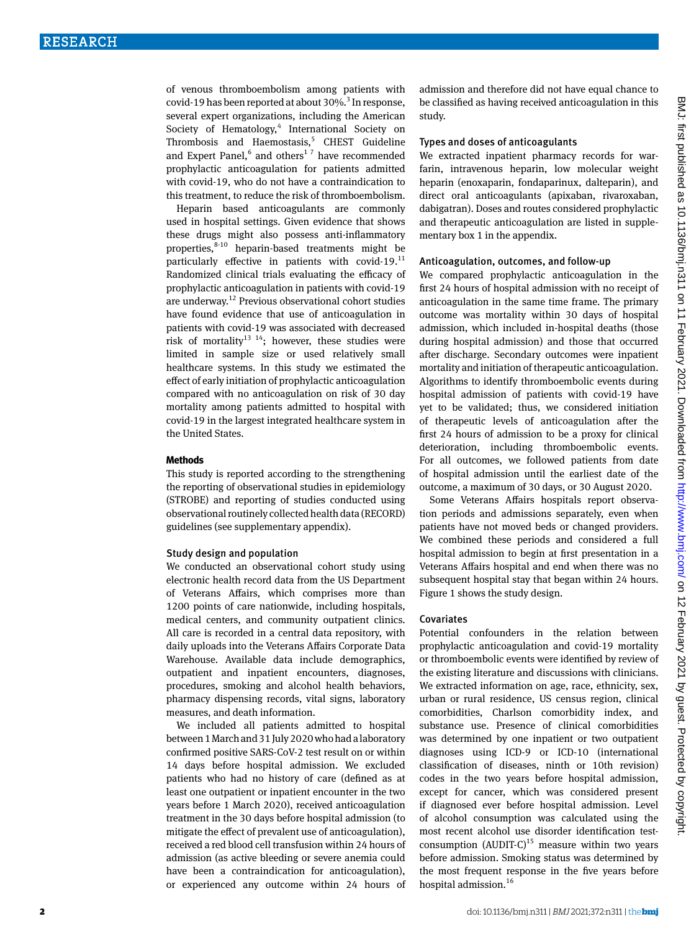of venous thromboembolism among patients with covid-19 has been reported at about 30%.<sup>3</sup> In response, several expert organizations, including the American Society of Hematology,<sup>4</sup> International Society on Thrombosis and Haemostasis,<sup>5</sup> CHEST Guideline and Expert Panel, $6$  and others<sup>17</sup> have recommended prophylactic anticoagulation for patients admitted with covid-19, who do not have a contraindication to this treatment, to reduce the risk of thromboembolism.

Heparin based anticoagulants are commonly used in hospital settings. Given evidence that shows these drugs might also possess anti-inflammatory properties, $8-10$  heparin-based treatments might be particularly effective in patients with covid-19.11 Randomized clinical trials evaluating the efficacy of prophylactic anticoagulation in patients with covid-19 are underway.12 Previous observational cohort studies have found evidence that use of anticoagulation in patients with covid-19 was associated with decreased risk of mortality<sup>13 14</sup>; however, these studies were limited in sample size or used relatively small healthcare systems. In this study we estimated the effect of early initiation of prophylactic anticoagulation compared with no anticoagulation on risk of 30 day mortality among patients admitted to hospital with covid-19 in the largest integrated healthcare system in the United States.

#### **Methods**

This study is reported according to the strengthening the reporting of observational studies in epidemiology (STROBE) and reporting of studies conducted using observational routinely collected health data (RECORD) guidelines (see supplementary appendix).

## Study design and population

We conducted an observational cohort study using electronic health record data from the US Department of Veterans Affairs, which comprises more than 1200 points of care nationwide, including hospitals, medical centers, and community outpatient clinics. All care is recorded in a central data repository, with daily uploads into the Veterans Affairs Corporate Data Warehouse. Available data include demographics, outpatient and inpatient encounters, diagnoses, procedures, smoking and alcohol health behaviors, pharmacy dispensing records, vital signs, laboratory measures, and death information.

We included all patients admitted to hospital between 1 March and 31 July 2020 who had a laboratory confirmed positive SARS-CoV-2 test result on or within 14 days before hospital admission. We excluded patients who had no history of care (defined as at least one outpatient or inpatient encounter in the two years before 1 March 2020), received anticoagulation treatment in the 30 days before hospital admission (to mitigate the effect of prevalent use of anticoagulation), received a red blood cell transfusion within 24 hours of admission (as active bleeding or severe anemia could have been a contraindication for anticoagulation), or experienced any outcome within 24 hours of

admission and therefore did not have equal chance to be classified as having received anticoagulation in this study.

## Types and doses of anticoagulants

We extracted inpatient pharmacy records for warfarin, intravenous heparin, low molecular weight heparin (enoxaparin, fondaparinux, dalteparin), and direct oral anticoagulants (apixaban, rivaroxaban, dabigatran). Doses and routes considered prophylactic and therapeutic anticoagulation are listed in supplementary box 1 in the appendix.

## Anticoagulation, outcomes, and follow-up

We compared prophylactic anticoagulation in the first 24 hours of hospital admission with no receipt of anticoagulation in the same time frame. The primary outcome was mortality within 30 days of hospital admission, which included in-hospital deaths (those during hospital admission) and those that occurred after discharge. Secondary outcomes were inpatient mortality and initiation of therapeutic anticoagulation. Algorithms to identify thromboembolic events during hospital admission of patients with covid-19 have yet to be validated; thus, we considered initiation of therapeutic levels of anticoagulation after the first 24 hours of admission to be a proxy for clinical deterioration, including thromboembolic events. For all outcomes, we followed patients from date of hospital admission until the earliest date of the outcome, a maximum of 30 days, or 30 August 2020.

Some Veterans Affairs hospitals report observation periods and admissions separately, even when patients have not moved beds or changed providers. We combined these periods and considered a full hospital admission to begin at first presentation in a Veterans Affairs hospital and end when there was no subsequent hospital stay that began within 24 hours. Figure 1 shows the study design.

#### Covariates

Potential confounders in the relation between prophylactic anticoagulation and covid-19 mortality or thromboembolic events were identified by review of the existing literature and discussions with clinicians. We extracted information on age, race, ethnicity, sex, urban or rural residence, US census region, clinical comorbidities, Charlson comorbidity index, and substance use. Presence of clinical comorbidities was determined by one inpatient or two outpatient diagnoses using ICD-9 or ICD-10 (international classification of diseases, ninth or 10th revision) codes in the two years before hospital admission, except for cancer, which was considered present if diagnosed ever before hospital admission. Level of alcohol consumption was calculated using the most recent alcohol use disorder identification testconsumption  $(AUDIT-C)^{15}$  measure within two years before admission. Smoking status was determined by the most frequent response in the five years before hospital admission.<sup>16</sup>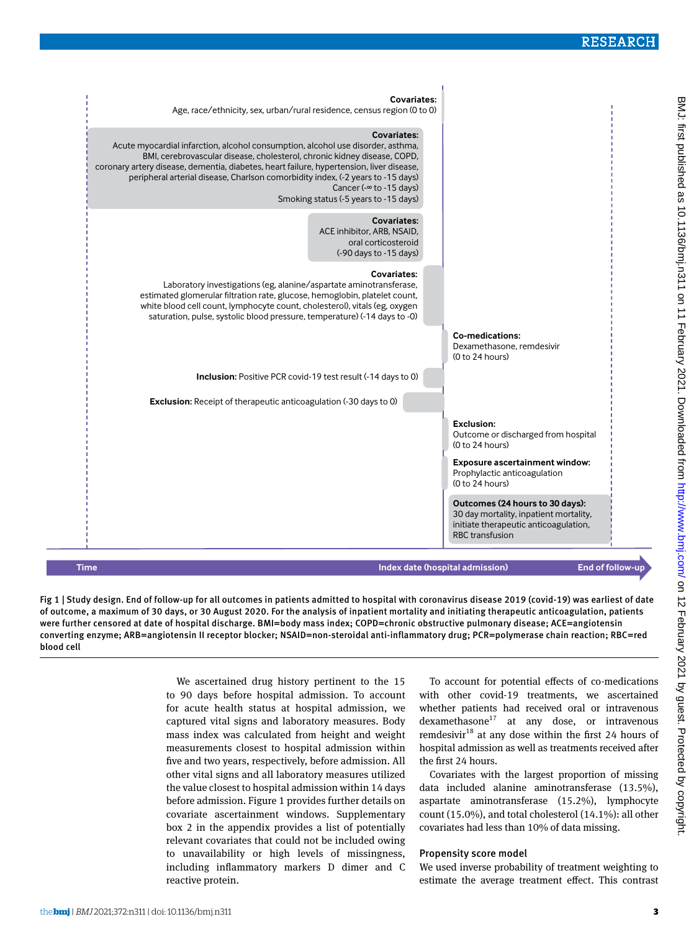

Fig 1 | Study design. End of follow-up for all outcomes in patients admitted to hospital with coronavirus disease 2019 (covid-19) was earliest of date of outcome, a maximum of 30 days, or 30 August 2020. For the analysis of inpatient mortality and initiating therapeutic anticoagulation, patients were further censored at date of hospital discharge. BMI=body mass index; COPD=chronic obstructive pulmonary disease; ACE=angiotensin converting enzyme; ARB=angiotensin II receptor blocker; NSAID=non-steroidal anti-inflammatory drug; PCR=polymerase chain reaction; RBC=red blood cell

> We ascertained drug history pertinent to the 15 to 90 days before hospital admission. To account for acute health status at hospital admission, we captured vital signs and laboratory measures. Body mass index was calculated from height and weight measurements closest to hospital admission within five and two years, respectively, before admission. All other vital signs and all laboratory measures utilized the value closest to hospital admission within 14 days before admission. Figure 1 provides further details on covariate ascertainment windows. Supplementary box 2 in the appendix provides a list of potentially relevant covariates that could not be included owing to unavailability or high levels of missingness, including inflammatory markers D dimer and C reactive protein.

To account for potential effects of co-medications with other covid-19 treatments, we ascertained whether patients had received oral or intravenous  $d$ examethasone $17$  at any dose, or intravenous remdesivir $18$  at any dose within the first 24 hours of hospital admission as well as treatments received after the first 24 hours.

Covariates with the largest proportion of missing data included alanine aminotransferase (13.5%), aspartate aminotransferase (15.2%), lymphocyte count (15.0%), and total cholesterol (14.1%): all other covariates had less than 10% of data missing.

## Propensity score model

We used inverse probability of treatment weighting to estimate the average treatment effect. This contrast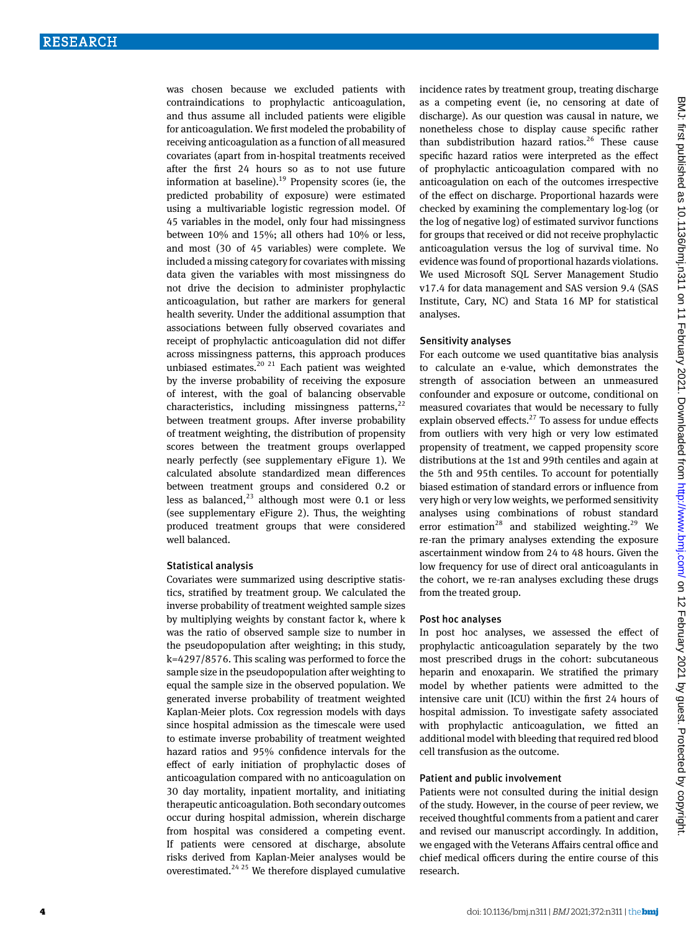was chosen because we excluded patients with contraindications to prophylactic anticoagulation, and thus assume all included patients were eligible for anticoagulation. We first modeled the probability of receiving anticoagulation as a function of all measured covariates (apart from in-hospital treatments received after the first 24 hours so as to not use future information at baseline).<sup>19</sup> Propensity scores (ie, the predicted probability of exposure) were estimated using a multivariable logistic regression model. Of 45 variables in the model, only four had missingness between 10% and 15%; all others had 10% or less, and most (30 of 45 variables) were complete. We included a missing category for covariates with missing data given the variables with most missingness do not drive the decision to administer prophylactic anticoagulation, but rather are markers for general health severity. Under the additional assumption that associations between fully observed covariates and receipt of prophylactic anticoagulation did not differ across missingness patterns, this approach produces unbiased estimates. $20$   $21$  Each patient was weighted by the inverse probability of receiving the exposure of interest, with the goal of balancing observable characteristics, including missingness patterns, $^{22}$ between treatment groups. After inverse probability of treatment weighting, the distribution of propensity scores between the treatment groups overlapped nearly perfectly (see supplementary eFigure 1). We calculated absolute standardized mean differences between treatment groups and considered 0.2 or less as balanced,<sup>23</sup> although most were 0.1 or less (see supplementary eFigure 2). Thus, the weighting produced treatment groups that were considered well balanced.

## Statistical analysis

Covariates were summarized using descriptive statistics, stratified by treatment group. We calculated the inverse probability of treatment weighted sample sizes by multiplying weights by constant factor k, where k was the ratio of observed sample size to number in the pseudopopulation after weighting; in this study, k=4297/8576. This scaling was performed to force the sample size in the pseudopopulation after weighting to equal the sample size in the observed population. We generated inverse probability of treatment weighted Kaplan-Meier plots. Cox regression models with days since hospital admission as the timescale were used to estimate inverse probability of treatment weighted hazard ratios and 95% confidence intervals for the effect of early initiation of prophylactic doses of anticoagulation compared with no anticoagulation on 30 day mortality, inpatient mortality, and initiating therapeutic anticoagulation. Both secondary outcomes occur during hospital admission, wherein discharge from hospital was considered a competing event. If patients were censored at discharge, absolute risks derived from Kaplan-Meier analyses would be overestimated. $24 \times 25$  We therefore displayed cumulative

incidence rates by treatment group, treating discharge as a competing event (ie, no censoring at date of discharge). As our question was causal in nature, we nonetheless chose to display cause specific rather than subdistribution hazard ratios.<sup>26</sup> These cause specific hazard ratios were interpreted as the effect of prophylactic anticoagulation compared with no anticoagulation on each of the outcomes irrespective of the effect on discharge. Proportional hazards were checked by examining the complementary log-log (or the log of negative log) of estimated survivor functions for groups that received or did not receive prophylactic anticoagulation versus the log of survival time. No evidence was found of proportional hazards violations. We used Microsoft SQL Server Management Studio v17.4 for data management and SAS version 9.4 (SAS Institute, Cary, NC) and Stata 16 MP for statistical analyses.

## Sensitivity analyses

For each outcome we used quantitative bias analysis to calculate an e-value, which demonstrates the strength of association between an unmeasured confounder and exposure or outcome, conditional on measured covariates that would be necessary to fully explain observed effects. $27$  To assess for undue effects from outliers with very high or very low estimated propensity of treatment, we capped propensity score distributions at the 1st and 99th centiles and again at the 5th and 95th centiles. To account for potentially biased estimation of standard errors or influence from very high or very low weights, we performed sensitivity analyses using combinations of robust standard error estimation<sup>28</sup> and stabilized weighting.<sup>29</sup> We re-ran the primary analyses extending the exposure ascertainment window from 24 to 48 hours. Given the low frequency for use of direct oral anticoagulants in the cohort, we re-ran analyses excluding these drugs from the treated group.

#### Post hoc analyses

In post hoc analyses, we assessed the effect of prophylactic anticoagulation separately by the two most prescribed drugs in the cohort: subcutaneous heparin and enoxaparin. We stratified the primary model by whether patients were admitted to the intensive care unit (ICU) within the first 24 hours of hospital admission. To investigate safety associated with prophylactic anticoagulation, we fitted an additional model with bleeding that required red blood cell transfusion as the outcome.

## Patient and public involvement

Patients were not consulted during the initial design of the study. However, in the course of peer review, we received thoughtful comments from a patient and carer and revised our manuscript accordingly. In addition, we engaged with the Veterans Affairs central office and chief medical officers during the entire course of this research.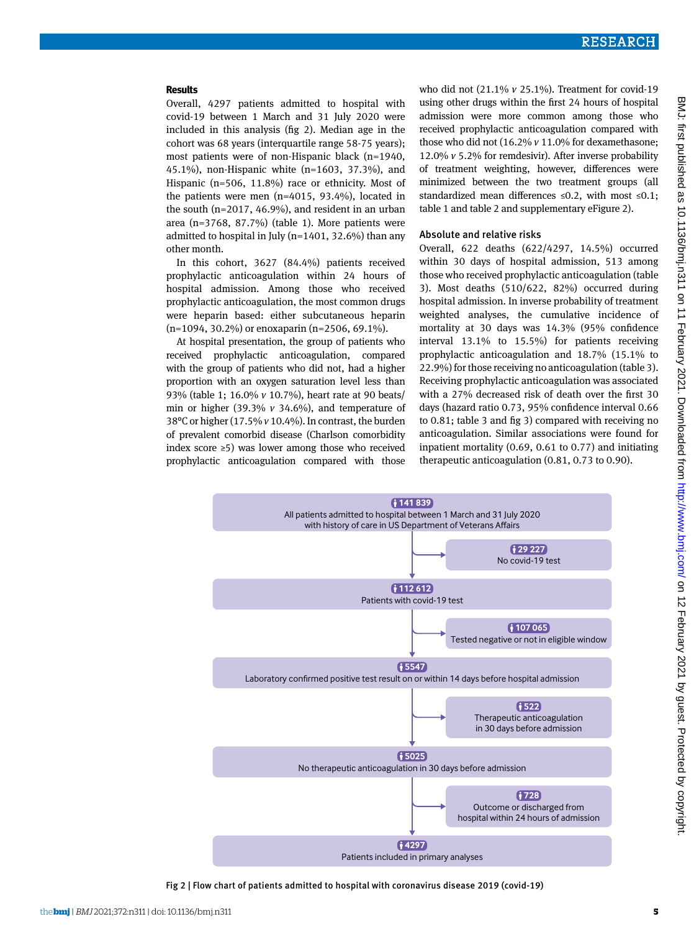## **Results**

Overall, 4297 patients admitted to hospital with covid-19 between 1 March and 31 July 2020 were included in this analysis (fig 2). Median age in the cohort was 68 years (interquartile range 58-75 years); most patients were of non-Hispanic black (n=1940, 45.1%), non-Hispanic white (n=1603, 37.3%), and Hispanic (n=506, 11.8%) race or ethnicity. Most of the patients were men (n=4015, 93.4%), located in the south (n=2017, 46.9%), and resident in an urban area (n=3768, 87.7%) (table 1). More patients were admitted to hospital in July (n=1401, 32.6%) than any other month.

In this cohort, 3627 (84.4%) patients received prophylactic anticoagulation within 24 hours of hospital admission. Among those who received prophylactic anticoagulation, the most common drugs were heparin based: either subcutaneous heparin (n=1094, 30.2%) or enoxaparin (n=2506, 69.1%).

At hospital presentation, the group of patients who received prophylactic anticoagulation, compared with the group of patients who did not, had a higher proportion with an oxygen saturation level less than 93% (table 1; 16.0% *v* 10.7%), heart rate at 90 beats/ min or higher (39.3% *v* 34.6%), and temperature of 38°C or higher (17.5% *v* 10.4%). In contrast, the burden of prevalent comorbid disease (Charlson comorbidity index score ≥5) was lower among those who received prophylactic anticoagulation compared with those

who did not (21.1% *v* 25.1%). Treatment for covid-19 using other drugs within the first 24 hours of hospital admission were more common among those who received prophylactic anticoagulation compared with those who did not (16.2% *v* 11.0% for dexamethasone; 12.0% *v* 5.2% for remdesivir). After inverse probability of treatment weighting, however, differences were minimized between the two treatment groups (all standardized mean differences ≤0.2, with most ≤0.1; table 1 and table 2 and supplementary eFigure 2).

## Absolute and relative risks

Overall, 622 deaths (622/4297, 14.5%) occurred within 30 days of hospital admission, 513 among those who received prophylactic anticoagulation (table 3). Most deaths (510/622, 82%) occurred during hospital admission. In inverse probability of treatment weighted analyses, the cumulative incidence of mortality at 30 days was 14.3% (95% confidence interval 13.1% to 15.5%) for patients receiving prophylactic anticoagulation and 18.7% (15.1% to 22.9%) for those receiving no anticoagulation (table 3). Receiving prophylactic anticoagulation was associated with a 27% decreased risk of death over the first 30 days (hazard ratio 0.73, 95% confidence interval 0.66 to 0.81; table 3 and fig 3) compared with receiving no anticoagulation. Similar associations were found for inpatient mortality (0.69, 0.61 to 0.77) and initiating therapeutic anticoagulation (0.81, 0.73 to 0.90).



Fig 2 | Flow chart of patients admitted to hospital with coronavirus disease 2019 (covid-19)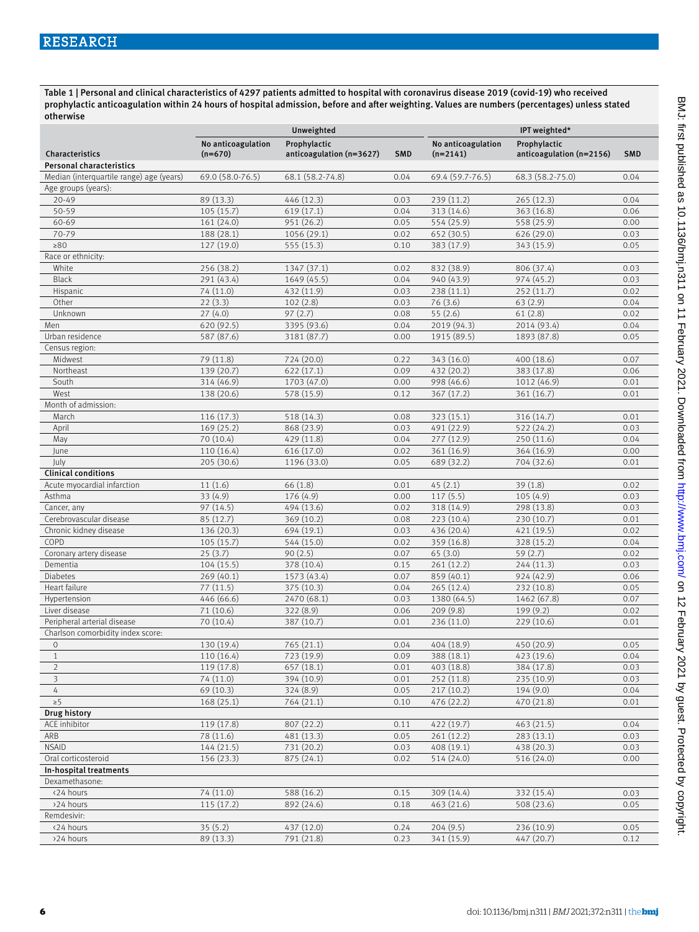Table 1 | Personal and clinical characteristics of 4297 patients admitted to hospital with coronavirus disease 2019 (covid-19) who received prophylactic anticoagulation within 24 hours of hospital admission, before and after weighting. Values are numbers (percentages) unless stated otherwise

|                                          |                                    | Unweighted               |                                    |                  | IPT weighted*            |            |  |
|------------------------------------------|------------------------------------|--------------------------|------------------------------------|------------------|--------------------------|------------|--|
|                                          | No anticoagulation<br>Prophylactic |                          | No anticoagulation<br>Prophylactic |                  |                          |            |  |
| Characteristics                          | $(n=670)$                          | anticoagulation (n=3627) | <b>SMD</b>                         | $(n=2141)$       | anticoagulation (n=2156) | <b>SMD</b> |  |
| <b>Personal characteristics</b>          |                                    |                          |                                    |                  |                          |            |  |
| Median (interquartile range) age (years) | 69.0 (58.0-76.5)                   | 68.1 (58.2-74.8)         | 0.04                               | 69.4 (59.7-76.5) | 68.3 (58.2-75.0)         | 0.04       |  |
| Age groups (years):                      |                                    |                          |                                    |                  |                          |            |  |
| $20 - 49$                                | 89 (13.3)                          | 446 (12.3)               | 239 (11.2)<br>0.03                 |                  | 265(12.3)                | 0.04       |  |
| 50-59                                    | 105(15.7)                          | 619(17.1)                | 0.04                               | 313 (14.6)       | 363 (16.8)               | 0.06       |  |
| 60-69                                    | 161 (24.0)                         | 951 (26.2)               | 0.05                               | 554 (25.9)       | 558 (25.9)               | 0.00       |  |
| 70-79                                    | 188 (28.1)                         | 1056 (29.1)              | 0.02                               | 652 (30.5)       | 626 (29.0)               | 0.03       |  |
| $\geq 80$                                | 127 (19.0)                         |                          | 0.10                               |                  |                          |            |  |
|                                          |                                    | 555 (15.3)               |                                    | 383 (17.9)       | 343 (15.9)               | 0.05       |  |
| Race or ethnicity:                       |                                    |                          |                                    |                  |                          |            |  |
| White                                    | 256 (38.2)                         | 1347 (37.1)              | 0.02                               | 832 (38.9)       | 806 (37.4)               | 0.03       |  |
| <b>Black</b>                             | 291 (43.4)                         | 1649 (45.5)              | 0.04                               | 940 (43.9)       | 974 (45.2)               | 0.03       |  |
| Hispanic                                 | 74 (11.0)                          | 432 (11.9)               | 0.03                               | 238 (11.1)       | 252 (11.7)               | 0.02       |  |
| Other                                    | 22(3.3)                            | 102(2.8)                 | 0.03                               | 76(3.6)          | 63(2.9)                  | 0.04       |  |
| Unknown                                  | 27(4.0)                            | 97(2.7)                  | 0.08                               | 55(2.6)          | 61(2.8)                  | 0.02       |  |
| Men                                      | 620 (92.5)                         | 3395 (93.6)<br>0.04      |                                    | 2019 (94.3)      | 2014 (93.4)              | 0.04       |  |
| Urban residence                          | 587 (87.6)                         | 3181 (87.7)              | 0.00                               | 1915 (89.5)      | 1893 (87.8)              | 0.05       |  |
| Census region:                           |                                    |                          |                                    |                  |                          |            |  |
| Midwest                                  | 79 (11.8)                          | 724 (20.0)               | 0.22                               | 343 (16.0)       | 400 (18.6)               | 0.07       |  |
| Northeast                                | 139 (20.7)                         | 622(17.1)                | 0.09                               | 432 (20.2)       | 383 (17.8)               | 0.06       |  |
| South                                    | 314 (46.9)                         | 1703 (47.0)              | 0.00                               | 998 (46.6)       | 1012 (46.9)              | 0.01       |  |
| West                                     | 138 (20.6)                         | 578 (15.9)               | 0.12                               | 367 (17.2)       | 361 (16.7)               | 0.01       |  |
| Month of admission:                      |                                    |                          |                                    |                  |                          |            |  |
| March                                    | 116 (17.3)                         | 518 (14.3)               | 0.08                               | 323 (15.1)       | 316 (14.7)               | 0.01       |  |
| April                                    | 169 (25.2)                         | 868 (23.9)               | 0.03                               | 491 (22.9)       | 522 (24.2)               | 0.03       |  |
| May                                      | 70 (10.4)                          | 429 (11.8)               | 0.04                               | 277 (12.9)       | 250 (11.6)               | 0.04       |  |
| June                                     | 110 (16.4)                         | 616 (17.0)               | 0.02                               | 361 (16.9)       | 364 (16.9)               | 0.00       |  |
| July                                     | 205 (30.6)                         | 1196 (33.0)              | 0.05                               | 689 (32.2)       | 704 (32.6)               | 0.01       |  |
| <b>Clinical conditions</b>               |                                    |                          |                                    |                  |                          |            |  |
| Acute myocardial infarction              | 11(1.6)                            | 66 (1.8)                 | 0.01                               | 45(2.1)          | 39(1.8)                  | 0.02       |  |
| Asthma                                   | 33(4.9)                            | 176 (4.9)                | 0.00                               | 117(5.5)         | 105(4.9)                 | 0.03       |  |
| Cancer, any                              | 97 (14.5)                          | 494 (13.6)               | 0.02                               | 318 (14.9)       | 298 (13.8)               | 0.03       |  |
| Cerebrovascular disease                  | 85 (12.7)                          | 369 (10.2)               | 0.08                               | 223(10.4)        | 230 (10.7)               | 0.01       |  |
| Chronic kidney disease                   | 136 (20.3)                         | 694 (19.1)               | 0.03                               | 436 (20.4)       | 421 (19.5)               | 0.02       |  |
| COPD                                     | 105(15.7)                          | 544 (15.0)               | 0.02                               | 359 (16.8)       | 328 (15.2)               | 0.04       |  |
| Coronary artery disease                  | 25(3.7)                            | 90(2.5)                  | 0.07                               | 65(3.0)          | 59(2.7)                  | 0.02       |  |
| Dementia                                 | 104(15.5)                          | 378 (10.4)               | 0.15                               | 261(12.2)        | 244 (11.3)               | 0.03       |  |
| <b>Diabetes</b>                          | 269(40.1)                          | 1573 (43.4)              | 0.07                               | 859 (40.1)       | 924 (42.9)               | 0.06       |  |
| Heart failure                            | 77(11.5)                           | 375 (10.3)               | 0.04                               | 265 (12.4)       | 232 (10.8)               | 0.05       |  |
| Hypertension                             | 446 (66.6)                         | 2470 (68.1)              | 0.03                               | 1380 (64.5)      | 1462 (67.8)              | 0.07       |  |
| Liver disease                            | 71 (10.6)                          | 322 (8.9)                | 0.06                               | 209(9.8)         | 199 (9.2)                | 0.02       |  |
| Peripheral arterial disease              | 70 (10.4)                          | 387 (10.7)               | 0.01                               | 236 (11.0)       | 229 (10.6)               | 0.01       |  |
| Charlson comorbidity index score:        |                                    |                          |                                    |                  |                          |            |  |
| $\mathbf{0}$                             | 130 (19.4)                         | 765(21.1)                | 0.04                               | 404 (18.9)       | 450 (20.9)               | 0.05       |  |
| $\mathbf{1}$                             | 110 (16.4)                         | 723 (19.9)               | 0.09                               | 388 (18.1)       | 423 (19.6)               | 0.04       |  |
| $\overline{2}$                           | 119 (17.8)                         | 657 (18.1)               | 0.01                               | 403 (18.8)       | 384 (17.8)               | 0.03       |  |
| 3                                        | 74 (11.0)                          | 394 (10.9)               | 0.01                               | 252 (11.8)       | 235(10.9)                | 0.03       |  |
| $\overline{4}$                           | 69 (10.3)                          | 324(8.9)                 | 0.05                               | 217(10.2)        | 194(9.0)                 | 0.04       |  |
| $\geq 5$                                 | 168(25.1)                          | 764 (21.1)               | 0.10                               | 476 (22.2)       | 470 (21.8)               | 0.01       |  |
| <b>Drug history</b>                      |                                    |                          |                                    |                  |                          |            |  |
| ACE inhibitor                            |                                    | 807 (22.2)               |                                    |                  |                          | 0.04       |  |
|                                          | 119 (17.8)                         |                          | 0.11                               | 422 (19.7)       | 463 (21.5)               |            |  |
| ARB                                      | 78 (11.6)                          | 481 (13.3)               | 0.05                               | 261 (12.2)       | 283 (13.1)               | 0.03       |  |
| <b>NSAID</b>                             | 144(21.5)                          | 731 (20.2)               | 0.03                               | 408 (19.1)       | 438 (20.3)               | 0.03       |  |
| Oral corticosteroid                      | 156 (23.3)                         | 875 (24.1)               | 0.02                               | 514 (24.0)       | 516 (24.0)               | 0.00       |  |
| In-hospital treatments                   |                                    |                          |                                    |                  |                          |            |  |
| Dexamethasone:                           |                                    |                          |                                    |                  |                          |            |  |
| <24 hours                                | 74 (11.0)                          | 588 (16.2)               | 0.15                               | 309 (14.4)       | 332 (15.4)               | 0.03       |  |
| >24 hours                                | 115(17.2)                          | 892 (24.6)               | 0.18                               | 463 (21.6)       | 508 (23.6)               | 0.05       |  |
| Remdesivir:                              |                                    |                          |                                    |                  |                          |            |  |
| <24 hours                                | 35(5.2)                            | 437 (12.0)               | 0.24                               | 204(9.5)         | 236 (10.9)               | 0.05       |  |
| >24 hours                                | 89 (13.3)                          | 791 (21.8)               | 0.23                               | 341 (15.9)       | 447 (20.7)               | 0.12       |  |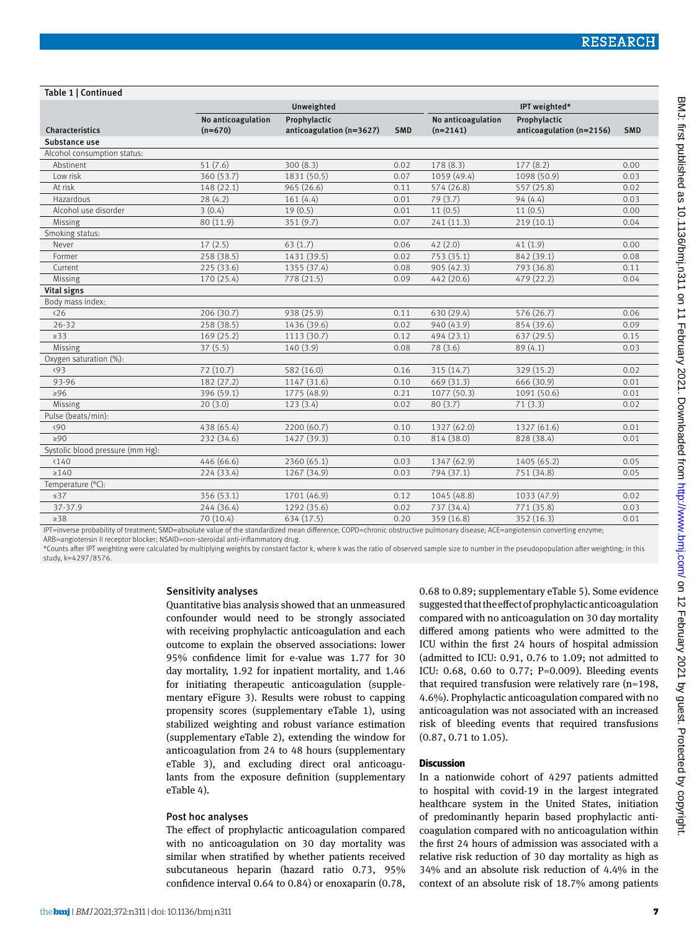#### Table 1 | Continued

|                                                         |                                 | Unweighted                                                                                                                                                                                                                                                                                                                                                                           | IPT weighted* |                                  |                                          |            |
|---------------------------------------------------------|---------------------------------|--------------------------------------------------------------------------------------------------------------------------------------------------------------------------------------------------------------------------------------------------------------------------------------------------------------------------------------------------------------------------------------|---------------|----------------------------------|------------------------------------------|------------|
| Characteristics                                         | No anticoagulation<br>$(n=670)$ | Prophylactic<br>anticoagulation (n=3627)                                                                                                                                                                                                                                                                                                                                             | <b>SMD</b>    | No anticoagulation<br>$(n=2141)$ | Prophylactic<br>anticoagulation (n=2156) | <b>SMD</b> |
| Substance use                                           |                                 |                                                                                                                                                                                                                                                                                                                                                                                      |               |                                  |                                          |            |
| Alcohol consumption status:                             |                                 |                                                                                                                                                                                                                                                                                                                                                                                      |               |                                  |                                          |            |
| Abstinent                                               | 51(7.6)                         | 300(8.3)                                                                                                                                                                                                                                                                                                                                                                             | 0.02          | 178 (8.3)                        | 177(8.2)                                 | 0.00       |
| Low risk                                                | 360 (53.7)                      | 1831 (50.5)                                                                                                                                                                                                                                                                                                                                                                          | 0.07          | 1059 (49.4)                      | 1098 (50.9)                              | 0.03       |
| At risk                                                 | 148(22.1)                       | 965 (26.6)                                                                                                                                                                                                                                                                                                                                                                           | 0.11          | 574 (26.8)                       | 557 (25.8)                               | 0.02       |
| Hazardous                                               | 28(4.2)                         | 161(4.4)                                                                                                                                                                                                                                                                                                                                                                             | 0.01          | 79(3.7)                          | 94(4.4)                                  | 0.03       |
| Alcohol use disorder                                    | 3(0.4)                          | 19(0.5)                                                                                                                                                                                                                                                                                                                                                                              | 0.01          | 11(0.5)                          | 11(0.5)                                  | 0.00       |
| Missing                                                 | 80 (11.9)                       | 351 (9.7)                                                                                                                                                                                                                                                                                                                                                                            | 0.07          | 241 (11.3)                       | 219(10.1)                                | 0.04       |
| Smoking status:                                         |                                 |                                                                                                                                                                                                                                                                                                                                                                                      |               |                                  |                                          |            |
| Never                                                   | 17(2.5)                         | 63(1.7)                                                                                                                                                                                                                                                                                                                                                                              | 0.06          | 42(2.0)                          | 41(1.9)                                  | 0.00       |
| Former                                                  | 258 (38.5)                      | 1431 (39.5)                                                                                                                                                                                                                                                                                                                                                                          | 0.02          | 753 (35.1)                       | 842 (39.1)                               | 0.08       |
| Current                                                 | 225 (33.6)                      | 1355 (37.4)                                                                                                                                                                                                                                                                                                                                                                          | 0.08          | 905 (42.3)                       | 793 (36.8)                               | 0.11       |
| Missing                                                 | 170 (25.4)                      | 778 (21.5)                                                                                                                                                                                                                                                                                                                                                                           | 0.09          | 442 (20.6)                       | 479 (22.2)                               | 0.04       |
| Vital signs                                             |                                 |                                                                                                                                                                                                                                                                                                                                                                                      |               |                                  |                                          |            |
| Body mass index:                                        |                                 |                                                                                                                                                                                                                                                                                                                                                                                      |               |                                  |                                          |            |
| $\langle 26$                                            | 206 (30.7)                      | 938 (25.9)                                                                                                                                                                                                                                                                                                                                                                           | 0.11          | 630 (29.4)                       | 576 (26.7)                               | 0.06       |
| $26 - 32$                                               | 258 (38.5)                      | 1436 (39.6)                                                                                                                                                                                                                                                                                                                                                                          | 0.02          | 940 (43.9)                       | 854 (39.6)                               | 0.09       |
| $\geq$ 33                                               | 169(25.2)                       | 1113 (30.7)                                                                                                                                                                                                                                                                                                                                                                          | 0.12          | 494 (23.1)                       | 637(29.5)                                | 0.15       |
| Missing                                                 | 37(5.5)                         | 140(3.9)                                                                                                                                                                                                                                                                                                                                                                             | 0.08          | 78 (3.6)                         | 89(4.1)                                  | 0.03       |
| Oxygen saturation (%):                                  |                                 |                                                                                                                                                                                                                                                                                                                                                                                      |               |                                  |                                          |            |
| (93)                                                    | 72(10.7)                        | 582 (16.0)                                                                                                                                                                                                                                                                                                                                                                           | 0.16          | 315 (14.7)                       | 329 (15.2)                               | 0.02       |
| 93-96                                                   | 182 (27.2)                      | 1147 (31.6)                                                                                                                                                                                                                                                                                                                                                                          | 0.10          | 669 (31.3)                       | 666 (30.9)                               | 0.01       |
| $\geq 96$                                               | 396 (59.1)                      | 1775 (48.9)                                                                                                                                                                                                                                                                                                                                                                          | 0.21          | 1077 (50.3)                      | 1091 (50.6)                              | 0.01       |
| Missing                                                 | 20(3.0)                         | 123(3.4)                                                                                                                                                                                                                                                                                                                                                                             | 0.02          | 80(3.7)                          | 71(3.3)                                  | 0.02       |
| Pulse (beats/min):                                      |                                 |                                                                                                                                                                                                                                                                                                                                                                                      |               |                                  |                                          |            |
| $\langle 90$                                            | 438 (65.4)                      | 2200 (60.7)                                                                                                                                                                                                                                                                                                                                                                          | 0.10          | 1327 (62.0)                      | 1327 (61.6)                              | 0.01       |
| $\geq 90$                                               | 232 (34.6)                      | 1427 (39.3)                                                                                                                                                                                                                                                                                                                                                                          | 0.10          | 814 (38.0)                       | 828 (38.4)                               | 0.01       |
| Systolic blood pressure (mm Hg):                        |                                 |                                                                                                                                                                                                                                                                                                                                                                                      |               |                                  |                                          |            |
| < 140                                                   | 446 (66.6)                      | 2360 (65.1)                                                                                                                                                                                                                                                                                                                                                                          | 0.03          | 1347 (62.9)                      | 1405 (65.2)                              | 0.05       |
| $\geq 140$                                              | 224 (33.4)                      | 1267 (34.9)                                                                                                                                                                                                                                                                                                                                                                          | 0.03          | 794 (37.1)                       | 751 (34.8)                               | 0.05       |
| Temperature (°C):                                       |                                 |                                                                                                                                                                                                                                                                                                                                                                                      |               |                                  |                                          |            |
| $\leq$ 37                                               | 356 (53.1)                      | 1701 (46.9)                                                                                                                                                                                                                                                                                                                                                                          | 0.12          | 1045 (48.8)                      | 1033 (47.9)                              | 0.02       |
| 37-37.9                                                 | 244 (36.4)                      | 1292 (35.6)                                                                                                                                                                                                                                                                                                                                                                          | 0.02          | 737 (34.4)                       | 771 (35.8)                               | 0.03       |
| $\geq$ 38                                               | 70 (10.4)                       | 634 (17.5)                                                                                                                                                                                                                                                                                                                                                                           | 0.20          | 359 (16.8)                       | 352 (16.3)                               | 0.01       |
| $I\cap T$<br>and the state of the state of the state of |                                 | $\overline{1}$ $\overline{1}$ $\overline{1}$ $\overline{1}$ $\overline{1}$ $\overline{1}$ $\overline{1}$ $\overline{1}$ $\overline{1}$ $\overline{1}$ $\overline{1}$ $\overline{1}$ $\overline{1}$ $\overline{1}$ $\overline{1}$ $\overline{1}$ $\overline{1}$ $\overline{1}$ $\overline{1}$ $\overline{1}$ $\overline{1}$ $\overline{1}$ $\overline{1}$ $\overline{1}$ $\overline{$ |               | <b>CONTRACT CONTRACTOR</b>       |                                          |            |

IPT=inverse probability of treatment; SMD=absolute value of the standardized mean difference; COPD=chronic obstructive pulmonary disease; ACE=angiotensin converting enzyme; ARB=angiotensin II receptor blocker; NSAID=non-steroidal anti-inflammatory drug.

\*Counts after IPT weighting were calculated by multiplying weights by constant factor k, where k was the ratio of observed sample size to number in the pseudopopulation after weighting; in this study, k=4297/8576.

## Sensitivity analyses

Quantitative bias analysis showed that an unmeasured confounder would need to be strongly associated with receiving prophylactic anticoagulation and each outcome to explain the observed associations: lower 95% confidence limit for e-value was 1.77 for 30 day mortality, 1.92 for inpatient mortality, and 1.46 for initiating therapeutic anticoagulation (supplementary eFigure 3). Results were robust to capping propensity scores (supplementary eTable 1), using stabilized weighting and robust variance estimation (supplementary eTable 2), extending the window for anticoagulation from 24 to 48 hours (supplementary eTable 3), and excluding direct oral anticoagulants from the exposure definition (supplementary eTable 4).

## Post hoc analyses

The effect of prophylactic anticoagulation compared with no anticoagulation on 30 day mortality was similar when stratified by whether patients received subcutaneous heparin (hazard ratio 0.73, 95% confidence interval 0.64 to 0.84) or enoxaparin (0.78, 0.68 to 0.89; supplementary eTable 5). Some evidence suggested that the effect of prophylactic anticoagulation compared with no anticoagulation on 30 day mortality differed among patients who were admitted to the ICU within the first 24 hours of hospital admission (admitted to ICU: 0.91, 0.76 to 1.09; not admitted to ICU: 0.68, 0.60 to 0.77; P=0.009). Bleeding events that required transfusion were relatively rare (n=198, 4.6%). Prophylactic anticoagulation compared with no anticoagulation was not associated with an increased risk of bleeding events that required transfusions (0.87, 0.71 to 1.05).

## **Discussion**

In a nationwide cohort of 4297 patients admitted to hospital with covid-19 in the largest integrated healthcare system in the United States, initiation of predominantly heparin based prophylactic anticoagulation compared with no anticoagulation within the first 24 hours of admission was associated with a relative risk reduction of 30 day mortality as high as 34% and an absolute risk reduction of 4.4% in the context of an absolute risk of 18.7% among patients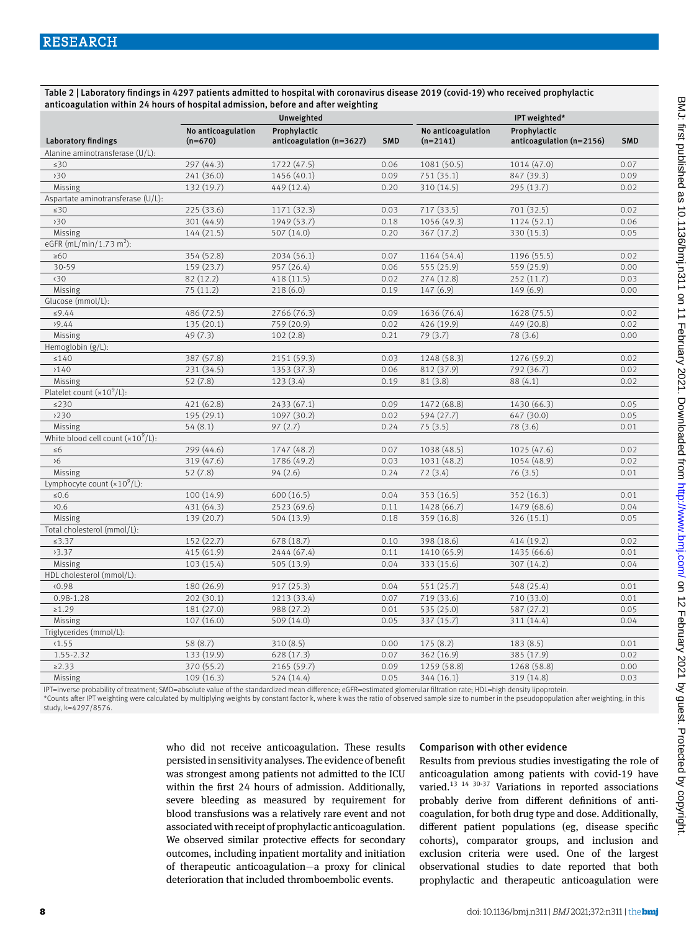Table 2 | Laboratory findings in 4297 patients admitted to hospital with coronavirus disease 2019 (covid-19) who received prophylactic anticoagulation within 24 hours of hospital admission, before and after weighting

|                                      |                    | Unweighted               |            |                    | IPT weighted*            |            |
|--------------------------------------|--------------------|--------------------------|------------|--------------------|--------------------------|------------|
|                                      | No anticoagulation | Prophylactic             |            | No anticoagulation | Prophylactic             |            |
| <b>Laboratory findings</b>           | $(n=670)$          | anticoagulation (n=3627) | <b>SMD</b> | $(n=2141)$         | anticoagulation (n=2156) | <b>SMD</b> |
| Alanine aminotransferase (U/L):      |                    |                          |            |                    |                          |            |
| $\leq 30$                            | 297 (44.3)         | 1722 (47.5)              | 0.06       | 1081 (50.5)        | 1014 (47.0)              | 0.07       |
| 30                                   | 241 (36.0)         | 1456 (40.1)              | 0.09       | 751 (35.1)         | 847 (39.3)               | 0.09       |
| Missing                              | 132 (19.7)         | 449 (12.4)               | 0.20       | 310 (14.5)         | 295 (13.7)               | 0.02       |
| Aspartate aminotransferase (U/L):    |                    |                          |            |                    |                          |            |
| $\leq 30$                            | 225 (33.6)         | 1171 (32.3)              | 0.03       | 717 (33.5)         | 701 (32.5)               | 0.02       |
| 30                                   | 301 (44.9)         | 1949 (53.7)              | 0.18       | 1056 (49.3)        | 1124 (52.1)              | 0.06       |
| Missing                              | 144(21.5)          | 507 (14.0)               | 0.20       | 367(17.2)          | 330 (15.3)               | 0.05       |
| eGFR $(mL/min/1.73 m2)$ :            |                    |                          |            |                    |                          |            |
| $\geq 60$                            | 354 (52.8)         | 2034 (56.1)              | 0.07       | 1164 (54.4)        | 1196 (55.5)              | 0.02       |
| 30-59                                | 159 (23.7)         | 957 (26.4)               | 0.06       | 555 (25.9)         | 559 (25.9)               | 0.00       |
| $\langle 30$                         | 82 (12.2)          | 418 (11.5)               | 0.02       | 274 (12.8)         | 252 (11.7)               | 0.03       |
| Missing                              | 75(11.2)           | 218(6.0)                 | 0.19       | 147(6.9)           | 149(6.9)                 | 0.00       |
| Glucose (mmol/L):                    |                    |                          |            |                    |                          |            |
| ≤9.44                                | 486 (72.5)         | 2766 (76.3)              | 0.09       | 1636 (76.4)        | 1628 (75.5)              | 0.02       |
| 29.44                                | 135 (20.1)         | 759 (20.9)               | 0.02       | 426 (19.9)         | 449 (20.8)               | 0.02       |
| Missing                              | 49(7.3)            | 102(2.8)                 | 0.21       | 79(3.7)            | 78 (3.6)                 | 0.00       |
| Hemoglobin (g/L):                    |                    |                          |            |                    |                          |            |
| $\leq\!140$                          | 387 (57.8)         | 2151 (59.3)              | 0.03       | 1248 (58.3)        | 1276 (59.2)              | 0.02       |
| >140                                 | 231 (34.5)         | 1353 (37.3)              | 0.06       | 812 (37.9)         | 792 (36.7)               | 0.02       |
| Missing                              | 52(7.8)            | 123(3.4)                 | 0.19       | 81(3.8)            | 88(4.1)                  | 0.02       |
| Platelet count $(x10^9/L)$ :         |                    |                          |            |                    |                          |            |
| $\leq$ 230                           | 421 (62.8)         | 2433 (67.1)              | 0.09       | 1472 (68.8)        | 1430 (66.3)              | 0.05       |
| >230                                 | 195 (29.1)         | 1097 (30.2)              | 0.02       | 594 (27.7)         | 647 (30.0)               | 0.05       |
| Missing                              | 54(8.1)            | 97(2.7)                  | 0.24       | 75(3.5)            | 78 (3.6)                 | 0.01       |
| White blood cell count $(x10^9/L)$ : |                    |                          |            |                    |                          |            |
| $\leq 6$                             | 299 (44.6)         | 1747 (48.2)              | 0.07       | 1038 (48.5)        | 1025 (47.6)              | 0.02       |
| 56                                   | 319 (47.6)         | 1786 (49.2)              | 0.03       | 1031 (48.2)        | 1054 (48.9)              | 0.02       |
| Missing                              | 52(7.8)            | 94(2.6)                  | 0.24       | 72(3.4)            | 76(3.5)                  | 0.01       |
| Lymphocyte count $(x10^9/L)$ :       |                    |                          |            |                    |                          |            |
| $≤0.6$                               | 100(14.9)          | 600(16.5)                | 0.04       | 353 (16.5)         | 352 (16.3)               | 0.01       |
| 20.6                                 | 431 (64.3)         | 2523 (69.6)              | 0.11       | 1428 (66.7)        | 1479 (68.6)              | 0.04       |
| Missing                              | 139 (20.7)         | 504 (13.9)               | 0.18       | 359 (16.8)         | 326 (15.1)               | 0.05       |
| Total cholesterol (mmol/L):          |                    |                          |            |                    |                          |            |
| ≤3.37                                | 152 (22.7)         | 678 (18.7)               | 0.10       | 398 (18.6)         | 414 (19.2)               | 0.02       |
| 3.37                                 | 415 (61.9)         | 2444 (67.4)              | 0.11       | 1410 (65.9)        | 1435 (66.6)              | 0.01       |
| Missing                              | 103 (15.4)         | 505 (13.9)               | 0.04       | 333 (15.6)         | 307 (14.2)               | 0.04       |
| HDL cholesterol (mmol/L):            |                    |                          |            |                    |                          |            |
| 0.98                                 | 180 (26.9)         | 917 (25.3)               | 0.04       | 551 (25.7)         | 548 (25.4)               | 0.01       |
| $0.98 - 1.28$                        | 202(30.1)          | 1213 (33.4)              | 0.07       | 719 (33.6)         | 710 (33.0)               | 0.01       |
| $\ge 1.29$                           | 181 (27.0)         | 988 (27.2)               | 0.01       | 535 (25.0)         | 587 (27.2)               | 0.05       |
| Missing                              | 107(16.0)          | 509 (14.0)               | 0.05       | 337 (15.7)         | 311 (14.4)               | 0.04       |
| Triglycerides (mmol/L):              |                    |                          |            |                    |                          |            |
| $1.55$                               | 58 (8.7)           | 310(8.5)                 | 0.00       | 175(8.2)           | 183(8.5)                 | 0.01       |
| 1.55-2.32                            | 133 (19.9)         | 628 (17.3)               | 0.07       | 362 (16.9)         | 385 (17.9)               | 0.02       |
| $\ge 2.33$                           | 370 (55.2)         | 2165 (59.7)              | 0.09       | 1259 (58.8)        | 1268 (58.8)              | 0.00       |
| Missing                              | 109(16.3)          | 524 (14.4)               | 0.05       | 344 (16.1)         | 319 (14.8)               | 0.03       |

IPT=inverse probability of treatment; SMD=absolute value of the standardized mean difference; eGFR=estimated glomerular filtration rate; HDL=high density lipoprotein.

\*Counts after IPT weighting were calculated by multiplying weights by constant factor k, where k was the ratio of observed sample size to number in the pseudopopulation after weighting; in this study, k=4297/8576.

> who did not receive anticoagulation. These results persisted in sensitivity analyses. The evidence of benefit was strongest among patients not admitted to the ICU within the first 24 hours of admission. Additionally, severe bleeding as measured by requirement for blood transfusions was a relatively rare event and not associated with receipt of prophylactic anticoagulation. We observed similar protective effects for secondary outcomes, including inpatient mortality and initiation of therapeutic anticoagulation—a proxy for clinical deterioration that included thromboembolic events.

## Comparison with other evidence

Results from previous studies investigating the role of anticoagulation among patients with covid-19 have varied.<sup>13</sup> <sup>14</sup> <sup>30-37</sup> Variations in reported associations probably derive from different definitions of anticoagulation, for both drug type and dose. Additionally, different patient populations (eg, disease specific cohorts), comparator groups, and inclusion and exclusion criteria were used. One of the largest observational studies to date reported that both prophylactic and therapeutic anticoagulation were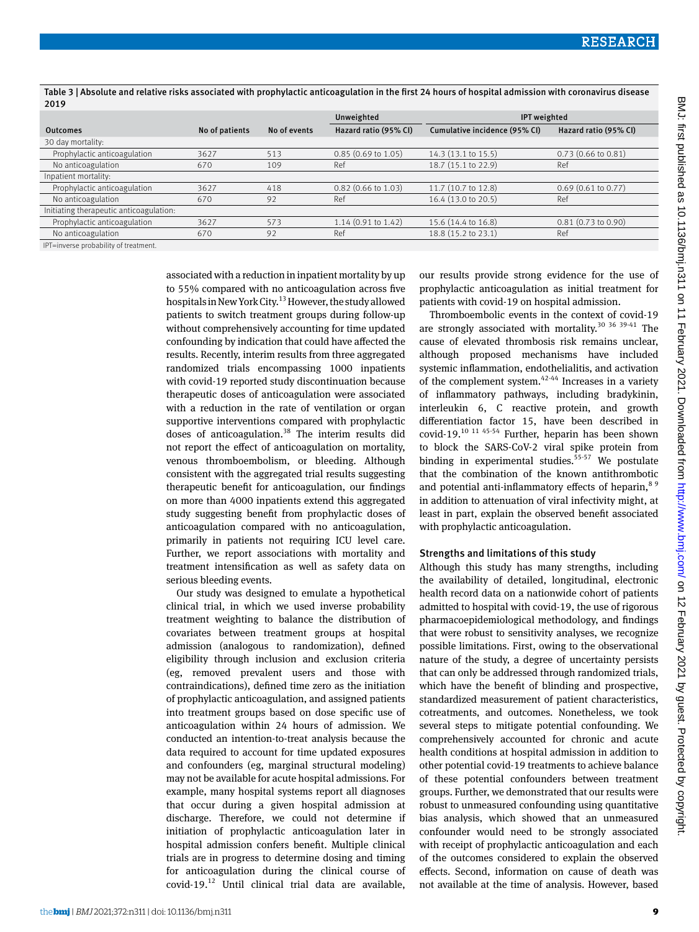|                                         |                |              | Unweighted                    | <b>IPT</b> weighted           |                               |
|-----------------------------------------|----------------|--------------|-------------------------------|-------------------------------|-------------------------------|
| <b>Outcomes</b>                         | No of patients | No of events | Hazard ratio (95% CI)         | Cumulative incidence (95% CI) | Hazard ratio (95% CI)         |
| 30 day mortality:                       |                |              |                               |                               |                               |
| Prophylactic anticoagulation            | 3627           | 513          | $0.85$ (0.69 to 1.05)         | 14.3 (13.1 to 15.5)           | $0.73(0.66 \text{ to } 0.81)$ |
| No anticoagulation                      | 670            | 109          | Ref                           | 18.7 (15.1 to 22.9)           | Ref                           |
| Inpatient mortality:                    |                |              |                               |                               |                               |
| Prophylactic anticoagulation            | 3627           | 418          | $0.82$ (0.66 to 1.03)         | 11.7 (10.7 to 12.8)           | $0.69$ (0.61 to 0.77)         |
| No anticoagulation                      | 670            | 92           | Ref                           | 16.4 (13.0 to 20.5)           | Ref                           |
| Initiating therapeutic anticoagulation: |                |              |                               |                               |                               |
| Prophylactic anticoagulation            | 3627           | 573          | $1.14(0.91 \text{ to } 1.42)$ | 15.6 (14.4 to 16.8)           | $0.81(0.73 \text{ to } 0.90)$ |
| No anticoagulation                      | 670            | 92           | Ref                           | 18.8 (15.2 to 23.1)           | Ref                           |
| IPT=inverse probability of treatment.   |                |              |                               |                               |                               |

Table 3 | Absolute and relative risks associated with prophylactic anticoagulation in the first 24 hours of hospital admission with coronavirus disease 2019

IPT=inverse probability of treatment.

associated with a reduction in inpatient mortality by up to 55% compared with no anticoagulation across five hospitals in New York City.13 However, the study allowed patients to switch treatment groups during follow-up without comprehensively accounting for time updated confounding by indication that could have affected the results. Recently, interim results from three aggregated randomized trials encompassing 1000 inpatients with covid-19 reported study discontinuation because therapeutic doses of anticoagulation were associated with a reduction in the rate of ventilation or organ supportive interventions compared with prophylactic doses of anticoagulation.<sup>38</sup> The interim results did not report the effect of anticoagulation on mortality, venous thromboembolism, or bleeding. Although consistent with the aggregated trial results suggesting therapeutic benefit for anticoagulation, our findings on more than 4000 inpatients extend this aggregated study suggesting benefit from prophylactic doses of anticoagulation compared with no anticoagulation, primarily in patients not requiring ICU level care. Further, we report associations with mortality and treatment intensification as well as safety data on serious bleeding events.

Our study was designed to emulate a hypothetical clinical trial, in which we used inverse probability treatment weighting to balance the distribution of covariates between treatment groups at hospital admission (analogous to randomization), defined eligibility through inclusion and exclusion criteria (eg, removed prevalent users and those with contraindications), defined time zero as the initiation of prophylactic anticoagulation, and assigned patients into treatment groups based on dose specific use of anticoagulation within 24 hours of admission. We conducted an intention-to-treat analysis because the data required to account for time updated exposures and confounders (eg, marginal structural modeling) may not be available for acute hospital admissions. For example, many hospital systems report all diagnoses that occur during a given hospital admission at discharge. Therefore, we could not determine if initiation of prophylactic anticoagulation later in hospital admission confers benefit. Multiple clinical trials are in progress to determine dosing and timing for anticoagulation during the clinical course of covid-19.12 Until clinical trial data are available,

our results provide strong evidence for the use of prophylactic anticoagulation as initial treatment for patients with covid-19 on hospital admission.

Thromboembolic events in the context of covid-19 are strongly associated with mortality.<sup>30</sup> <sup>36</sup> <sup>39-41</sup> The cause of elevated thrombosis risk remains unclear, although proposed mechanisms have included systemic inflammation, endothelialitis, and activation of the complement system. $42-44$  Increases in a variety of inflammatory pathways, including bradykinin, interleukin 6, C reactive protein, and growth differentiation factor 15, have been described in covid-19.10 11 45-54 Further, heparin has been shown to block the SARS-CoV-2 viral spike protein from binding in experimental studies. $55-57$  We postulate that the combination of the known antithrombotic and potential anti-inflammatory effects of heparin, $89$ in addition to attenuation of viral infectivity might, at least in part, explain the observed benefit associated with prophylactic anticoagulation.

## Strengths and limitations of this study

Although this study has many strengths, including the availability of detailed, longitudinal, electronic health record data on a nationwide cohort of patients admitted to hospital with covid-19, the use of rigorous pharmacoepidemiological methodology, and findings that were robust to sensitivity analyses, we recognize possible limitations. First, owing to the observational nature of the study, a degree of uncertainty persists that can only be addressed through randomized trials, which have the benefit of blinding and prospective, standardized measurement of patient characteristics, cotreatments, and outcomes. Nonetheless, we took several steps to mitigate potential confounding. We comprehensively accounted for chronic and acute health conditions at hospital admission in addition to other potential covid-19 treatments to achieve balance of these potential confounders between treatment groups. Further, we demonstrated that our results were robust to unmeasured confounding using quantitative bias analysis, which showed that an unmeasured confounder would need to be strongly associated with receipt of prophylactic anticoagulation and each of the outcomes considered to explain the observed effects. Second, information on cause of death was not available at the time of analysis. However, based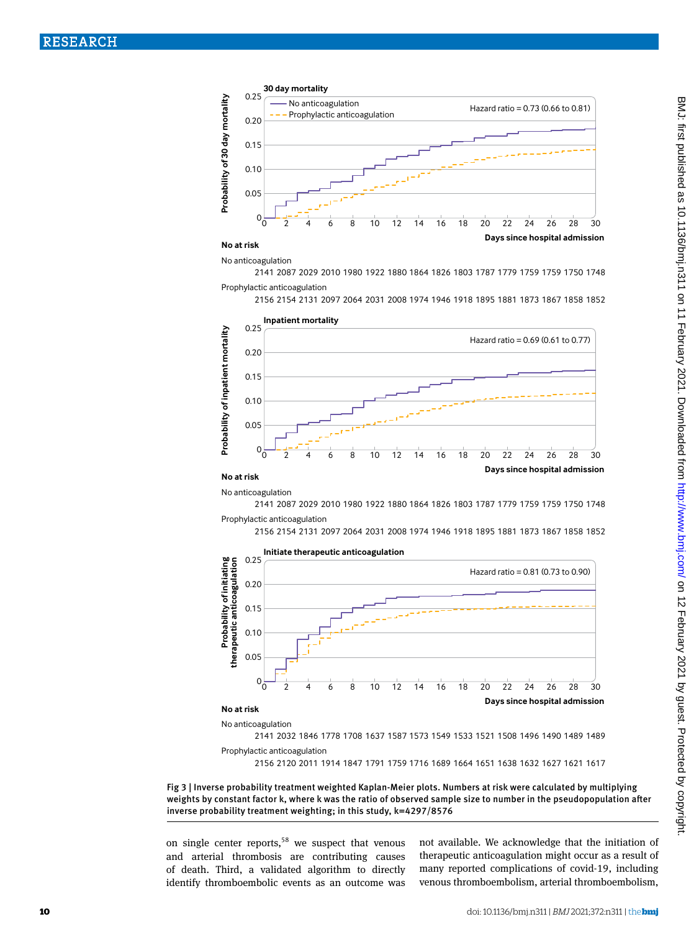

## **No at risk**

No anticoagulation

2141 2087 2029 2010 1980 1922 1880 1864 1826 1803 1787 1779 1759 1759 1750 1748 Prophylactic anticoagulation

2156 2154 2131 2097 2064 2031 2008 1974 1946 1918 1895 1881 1873 1867 1858 1852



#### **No at risk**

No anticoagulation

2141 2087 2029 2010 1980 1922 1880 1864 1826 1803 1787 1779 1759 1759 1750 1748 Prophylactic anticoagulation

2156 2154 2131 2097 2064 2031 2008 1974 1946 1918 1895 1881 1873 1867 1858 1852



Prophylactic anticoagulation

2156 2120 2011 1914 1847 1791 1759 1716 1689 1664 1651 1638 1632 1627 1621 1617

Fig 3 | Inverse probability treatment weighted Kaplan-Meier plots. Numbers at risk were calculated by multiplying weights by constant factor k, where k was the ratio of observed sample size to number in the pseudopopulation after inverse probability treatment weighting; in this study, k=4297/8576

on single center reports, $58$  we suspect that venous and arterial thrombosis are contributing causes of death. Third, a validated algorithm to directly identify thromboembolic events as an outcome was

not available. We acknowledge that the initiation of therapeutic anticoagulation might occur as a result of many reported complications of covid-19, including venous thromboembolism, arterial thromboembolism,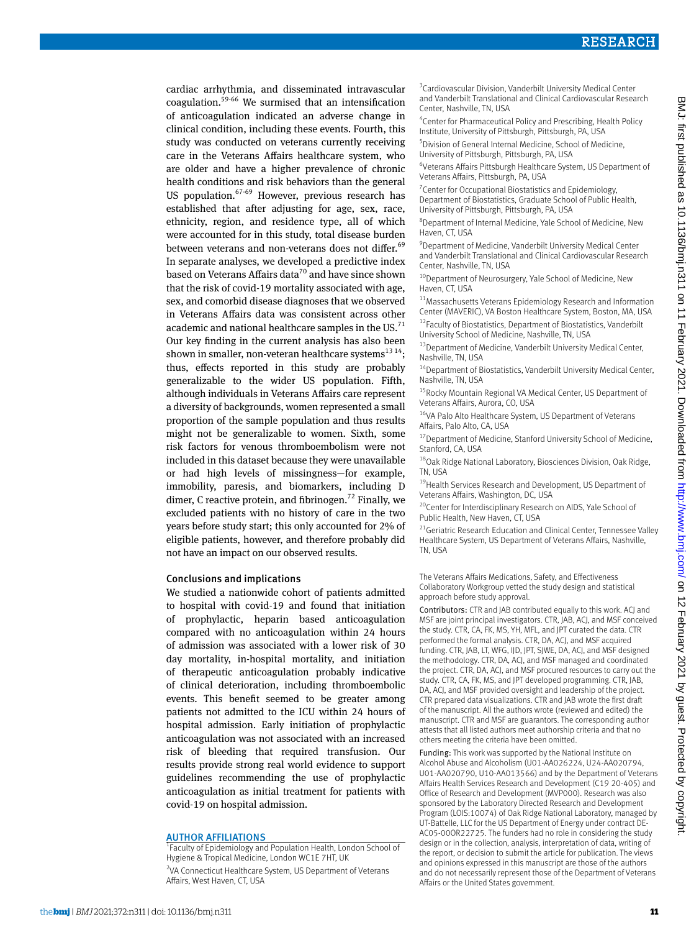cardiac arrhythmia, and disseminated intravascular coagulation.59-66 We surmised that an intensification of anticoagulation indicated an adverse change in clinical condition, including these events. Fourth, this study was conducted on veterans currently receiving care in the Veterans Affairs healthcare system, who are older and have a higher prevalence of chronic health conditions and risk behaviors than the general US population. $67-69$  However, previous research has established that after adjusting for age, sex, race, ethnicity, region, and residence type, all of which were accounted for in this study, total disease burden between veterans and non-veterans does not differ.<sup>69</sup> In separate analyses, we developed a predictive index based on Veterans Affairs data<sup>70</sup> and have since shown that the risk of covid-19 mortality associated with age, sex, and comorbid disease diagnoses that we observed in Veterans Affairs data was consistent across other academic and national healthcare samples in the US.<sup>71</sup> Our key finding in the current analysis has also been shown in smaller, non-veteran healthcare systems<sup>13 14</sup>; thus, effects reported in this study are probably generalizable to the wider US population. Fifth, although individuals in Veterans Affairs care represent a diversity of backgrounds, women represented a small proportion of the sample population and thus results might not be generalizable to women. Sixth, some risk factors for venous thromboembolism were not included in this dataset because they were unavailable or had high levels of missingness—for example, immobility, paresis, and biomarkers, including D dimer, C reactive protein, and fibrinogen.<sup>72</sup> Finally, we excluded patients with no history of care in the two years before study start; this only accounted for 2% of eligible patients, however, and therefore probably did not have an impact on our observed results.

#### Conclusions and implications

We studied a nationwide cohort of patients admitted to hospital with covid-19 and found that initiation of prophylactic, heparin based anticoagulation compared with no anticoagulation within 24 hours of admission was associated with a lower risk of 30 day mortality, in-hospital mortality, and initiation of therapeutic anticoagulation probably indicative of clinical deterioration, including thromboembolic events. This benefit seemed to be greater among patients not admitted to the ICU within 24 hours of hospital admission. Early initiation of prophylactic anticoagulation was not associated with an increased risk of bleeding that required transfusion. Our results provide strong real world evidence to support guidelines recommending the use of prophylactic anticoagulation as initial treatment for patients with covid-19 on hospital admission.

#### **AUTHOR AFFILIATIONS**

<sup>1</sup> Faculty of Epidemiology and Population Health, London School of Hygiene & Tropical Medicine, London WC1E 7HT, UK <sup>2</sup>VA Connecticut Healthcare System, US Department of Veterans Affairs, West Haven, CT, USA

<sup>3</sup> Cardiovascular Division, Vanderbilt University Medical Center and Vanderbilt Translational and Clinical Cardiovascular Research Center, Nashville, TN, USA

4 Center for Pharmaceutical Policy and Prescribing, Health Policy Institute, University of Pittsburgh, Pittsburgh, PA, USA

5 Division of General Internal Medicine, School of Medicine, University of Pittsburgh, Pittsburgh, PA, USA

6 Veterans Affairs Pittsburgh Healthcare System, US Department of Veterans Affairs, Pittsburgh, PA, USA

<sup>7</sup> Center for Occupational Biostatistics and Epidemiology, Department of Biostatistics, Graduate School of Public Health, University of Pittsburgh, Pittsburgh, PA, USA

8 Department of Internal Medicine, Yale School of Medicine, New Haven, CT, USA

9 Department of Medicine, Vanderbilt University Medical Center and Vanderbilt Translational and Clinical Cardiovascular Research Center, Nashville, TN, USA

<sup>10</sup>Department of Neurosurgery, Yale School of Medicine, New Haven, CT, USA

<sup>11</sup> Massachusetts Veterans Epidemiology Research and Information Center (MAVERIC), VA Boston Healthcare System, Boston, MA, USA

<sup>12</sup>Faculty of Biostatistics, Department of Biostatistics, Vanderbilt University School of Medicine, Nashville, TN, USA

<sup>13</sup> Department of Medicine, Vanderbilt University Medical Center, Nashville, TN, USA

<sup>14</sup>Department of Biostatistics, Vanderbilt University Medical Center, Nashville, TN, USA

<sup>15</sup> Rocky Mountain Regional VA Medical Center, US Department of Veterans Affairs, Aurora, CO, USA

<sup>16</sup>VA Palo Alto Healthcare System, US Department of Veterans Affairs, Palo Alto, CA, USA

<sup>17</sup> Department of Medicine, Stanford University School of Medicine, Stanford, CA, USA

18Oak Ridge National Laboratory, Biosciences Division, Oak Ridge, TN, USA

<sup>19</sup> Health Services Research and Development, US Department of Veterans Affairs, Washington, DC, USA

<sup>20</sup>Center for Interdisciplinary Research on AIDS, Yale School of Public Health, New Haven, CT, USA

<sup>21</sup>Geriatric Research Education and Clinical Center, Tennessee Valley Healthcare System, US Department of Veterans Affairs, Nashville, TN, USA

The Veterans Affairs Medications, Safety, and Effectiveness Collaboratory Workgroup vetted the study design and statistical approach before study approval.

Contributors: CTR and JAB contributed equally to this work. ACJ and MSF are joint principal investigators. CTR, JAB, ACJ, and MSF conceived the study. CTR, CA, FK, MS, YH, MFL, and JPT curated the data. CTR performed the formal analysis. CTR, DA, ACJ, and MSF acquired funding. CTR, JAB, LT, WFG, IJD, JPT, SJWE, DA, ACJ, and MSF designed the methodology. CTR, DA, ACJ, and MSF managed and coordinated the project. CTR, DA, ACJ, and MSF procured resources to carry out the study. CTR, CA, FK, MS, and JPT developed programming. CTR, JAB, DA, ACJ, and MSF provided oversight and leadership of the project. CTR prepared data visualizations. CTR and JAB wrote the first draft of the manuscript. All the authors wrote (reviewed and edited) the manuscript. CTR and MSF are guarantors. The corresponding author attests that all listed authors meet authorship criteria and that no others meeting the criteria have been omitted.

Funding: This work was supported by the National Institute on Alcohol Abuse and Alcoholism (U01-AA026224, U24-AA020794, U01-AA020790, U10-AA013566) and by the Department of Veterans Affairs Health Services Research and Development (C19 20-405) and Office of Research and Development (MVP000). Research was also sponsored by the Laboratory Directed Research and Development Program (LOIS:10074) of Oak Ridge National Laboratory, managed by UT-Battelle, LLC for the US Department of Energy under contract DE-AC05-00OR22725. The funders had no role in considering the study design or in the collection, analysis, interpretation of data, writing of the report, or decision to submit the article for publication. The views and opinions expressed in this manuscript are those of the authors and do not necessarily represent those of the Department of Veterans Affairs or the United States government.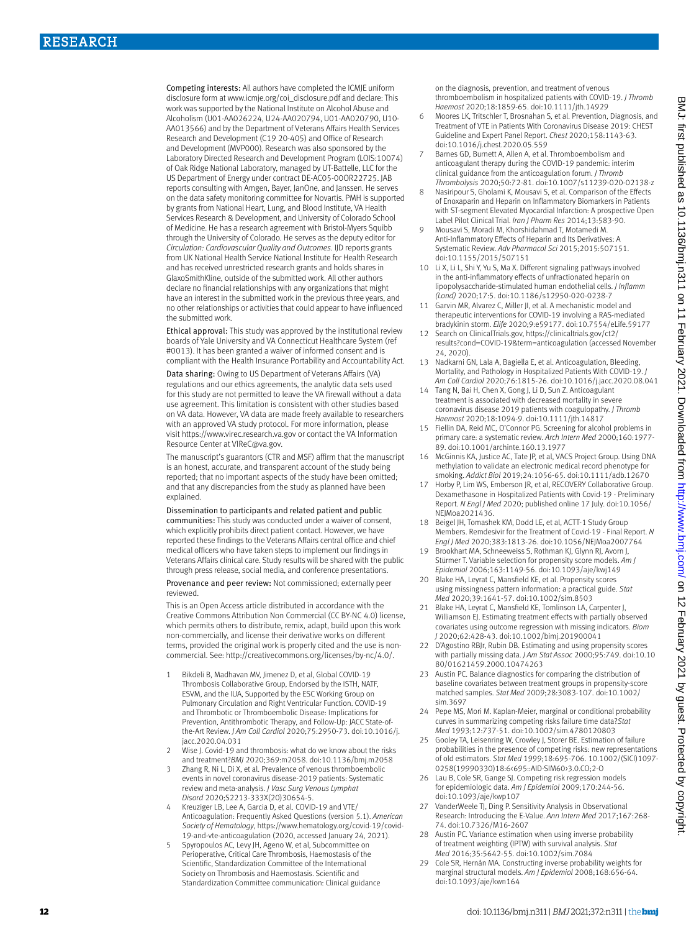Competing interests: All authors have completed the ICMJE uniform disclosure form at [www.icmje.org/coi\\_disclosure.pdf](http://www.icmje.org/coi_disclosure.pdf) and declare: This work was supported by the National Institute on Alcohol Abuse and Alcoholism (U01-AA026224, U24-AA020794, U01-AA020790, U10- AA013566) and by the Department of Veterans Affairs Health Services Research and Development (C19 20-405) and Office of Research and Development (MVP000). Research was also sponsored by the Laboratory Directed Research and Development Program (LOIS:10074) of Oak Ridge National Laboratory, managed by UT-Battelle, LLC for the US Department of Energy under contract DE-AC05-00OR22725. JAB reports consulting with Amgen, Bayer, JanOne, and Janssen. He serves on the data safety monitoring committee for Novartis. PMH is supported by grants from National Heart, Lung, and Blood Institute, VA Health Services Research & Development, and University of Colorado School of Medicine. He has a research agreement with Bristol-Myers Squibb through the University of Colorado. He serves as the deputy editor for *Circulation: Cardiovascular Quality and Outcomes*. IJD reports grants from UK National Health Service National Institute for Health Research and has received unrestricted research grants and holds shares in GlaxoSmithKline, outside of the submitted work. All other authors declare no financial relationships with any organizations that might have an interest in the submitted work in the previous three years, and no other relationships or activities that could appear to have influenced the submitted work.

Ethical approval: This study was approved by the institutional review boards of Yale University and VA Connecticut Healthcare System (ref #0013). It has been granted a waiver of informed consent and is compliant with the Health Insurance Portability and Accountability Act.

Data sharing: Owing to US Department of Veterans Affairs (VA) regulations and our ethics agreements, the analytic data sets used for this study are not permitted to leave the VA firewall without a data use agreement. This limitation is consistent with other studies based on VA data. However, VA data are made freely available to researchers with an approved VA study protocol. For more information, please visit <https://www.virec.research.va.gov> or contact the VA Information Resource Center at VIReC@va.gov.

The manuscript's guarantors (CTR and MSF) affirm that the manuscript is an honest, accurate, and transparent account of the study being reported; that no important aspects of the study have been omitted; and that any discrepancies from the study as planned have been explained.

#### Dissemination to participants and related patient and public

communities: This study was conducted under a waiver of consent, which explicitly prohibits direct patient contact. However, we have reported these findings to the Veterans Affairs central office and chief medical officers who have taken steps to implement our findings in Veterans Affairs clinical care. Study results will be shared with the public through press release, social media, and conference presentations.

Provenance and peer review: Not commissioned; externally peer reviewed.

This is an Open Access article distributed in accordance with the Creative Commons Attribution Non Commercial (CC BY-NC 4.0) license, which permits others to distribute, remix, adapt, build upon this work non-commercially, and license their derivative works on different terms, provided the original work is properly cited and the use is noncommercial. See: [http://creativecommons.org/licenses/by-nc/4.0/.](http://creativecommons.org/licenses/by-nc/4.0/)

- 1 Bikdeli B, Madhavan MV, Jimenez D, et al, Global COVID-19 Thrombosis Collaborative Group, Endorsed by the ISTH, NATF, ESVM, and the IUA, Supported by the ESC Working Group on Pulmonary Circulation and Right Ventricular Function. COVID-19 and Thrombotic or Thromboembolic Disease: Implications for Prevention, Antithrombotic Therapy, and Follow-Up: JACC State-ofthe-Art Review. *J Am Coll Cardiol* 2020;75:2950-73. doi:10.1016/j. jacc.2020.04.031
- 2 Wise J. Covid-19 and thrombosis: what do we know about the risks and treatment?*BMJ* 2020;369:m2058. doi:10.1136/bmj.m2058
- 3 Zhang R, Ni L, Di X, et al. Prevalence of venous thromboembolic events in novel coronavirus disease-2019 patients: Systematic review and meta-analysis. *J Vasc Surg Venous Lymphat Disord* 2020;S2213-333X(20)30654-5.
- 4 Kreuziger LB, Lee A, Garcia D, et al. COVID-19 and VTE/ Anticoagulation: Frequently Asked Questions (version 5.1). *American Society of Hematology*, [https://www.hematology.org/covid-19/covid-](https://www.hematology.org/covid-19/covid-19-and-vte-anticoagulation)[19-and-vte-anticoagulation](https://www.hematology.org/covid-19/covid-19-and-vte-anticoagulation) (2020, accessed January 24, 2021).
- 5 Spyropoulos AC, Levy JH, Ageno W, et al, Subcommittee on Perioperative, Critical Care Thrombosis, Haemostasis of the Scientific, Standardization Committee of the International Society on Thrombosis and Haemostasis. Scientific and Standardization Committee communication: Clinical guidance

on the diagnosis, prevention, and treatment of venous thromboembolism in hospitalized patients with COVID-19. *J Thromb Haemost* 2020;18:1859-65. doi:10.1111/jth.14929

- 6 Moores LK, Tritschler T, Brosnahan S, et al. Prevention, Diagnosis, and Treatment of VTE in Patients With Coronavirus Disease 2019: CHEST Guideline and Expert Panel Report. *Chest* 2020;158:1143-63. doi:10.1016/j.chest.2020.05.559
- Barnes GD, Burnett A, Allen A, et al. Thromboembolism and anticoagulant therapy during the COVID-19 pandemic: interim clinical guidance from the anticoagulation forum. *J Thromb Thrombolysis* 2020;50:72-81. doi:10.1007/s11239-020-02138-z
- Nasiripour S, Gholami K, Mousavi S, et al. Comparison of the Effects of Enoxaparin and Heparin on Inflammatory Biomarkers in Patients with ST-segment Elevated Myocardial Infarction: A prospective Open Label Pilot Clinical Trial. *Iran J Pharm Res* 2014;13:583-90.
- 9 Mousavi S, Moradi M, Khorshidahmad T, Motamedi M. Anti-Inflammatory Effects of Heparin and Its Derivatives: A Systematic Review. *Adv Pharmacol Sci* 2015;2015:507151. doi:10.1155/2015/507151
- 10 Li X, Li L, Shi Y, Yu S, Ma X. Different signaling pathways involved in the anti-inflammatory effects of unfractionated heparin on lipopolysaccharide-stimulated human endothelial cells. *J Inflamm (Lond)* 2020;17:5. doi:10.1186/s12950-020-0238-7
- 11 Garvin MR, Alvarez C, Miller JI, et al. A mechanistic model and therapeutic interventions for COVID-19 involving a RAS-mediated bradykinin storm. *Elife* 2020;9:e59177. doi:10.7554/eLife.59177
- 12 Search on ClinicalTrials.gov, [https://clinicaltrials.gov/ct2/](https://clinicaltrials.gov/ct2/results?cond=COVID-19&term=anticoagulation) [results?cond=COVID-19&term=anticoagulation](https://clinicaltrials.gov/ct2/results?cond=COVID-19&term=anticoagulation) (accessed November 24, 2020).
- 13 Nadkarni GN, Lala A, Bagiella E, et al. Anticoagulation, Bleeding, Mortality, and Pathology in Hospitalized Patients With COVID-19. *J Am Coll Cardiol* 2020;76:1815-26. doi:10.1016/j.jacc.2020.08.041
- Tang N, Bai H, Chen X, Gong J, Li D, Sun Z. Anticoagulant treatment is associated with decreased mortality in severe coronavirus disease 2019 patients with coagulopathy. *J Thromb Haemost* 2020;18:1094-9. doi:10.1111/jth.14817
- 15 Fiellin DA, Reid MC, O'Connor PG. Screening for alcohol problems in primary care: a systematic review. *Arch Intern Med* 2000;160:1977- 89. doi:10.1001/archinte.160.13.1977
- McGinnis KA, Justice AC, Tate JP, et al, VACS Project Group. Using DNA methylation to validate an electronic medical record phenotype for smoking. *Addict Biol* 2019;24:1056-65. doi:10.1111/adb.12670
- 17 Horby P, Lim WS, Emberson JR, et al, RECOVERY Collaborative Group. Dexamethasone in Hospitalized Patients with Covid-19 - Preliminary Report. *N Engl J Med* 2020; published online 17 July. doi:10.1056/ NEJMoa2021436.
- 18 Beigel JH, Tomashek KM, Dodd LE, et al, ACTT-1 Study Group Members. Remdesivir for the Treatment of Covid-19 - Final Report. *N Engl J Med* 2020;383:1813-26. doi:10.1056/NEJMoa2007764
- 19 Brookhart MA, Schneeweiss S, Rothman KJ, Glynn RJ, Avorn J, Stürmer T. Variable selection for propensity score models. *Am J Epidemiol* 2006;163:1149-56. doi:10.1093/aje/kwj149
- 20 Blake HA, Leyrat C, Mansfield KE, et al. Propensity scores using missingness pattern information: a practical guide. *Stat Med* 2020;39:1641-57. doi:10.1002/sim.8503
- 21 Blake HA, Leyrat C, Mansfield KE, Tomlinson LA, Carpenter J, Williamson EJ. Estimating treatment effects with partially observed covariates using outcome regression with missing indicators. *Biom J* 2020;62:428-43. doi:10.1002/bimj.201900041
- 22 D'Agostino RBJr, Rubin DB. Estimating and using propensity scores with partially missing data. *J Am Stat Assoc* 2000;95:749. doi:10.10 80/01621459.2000.10474263
- 23 Austin PC. Balance diagnostics for comparing the distribution of baseline covariates between treatment groups in propensity-score matched samples. *Stat Med* 2009;28:3083-107. doi:10.1002/ sim.3697
- 24 Pepe MS, Mori M. Kaplan-Meier, marginal or conditional probability curves in summarizing competing risks failure time data?*Stat Med* 1993;12:737-51. doi:10.1002/sim.4780120803
- 25 Gooley TA, Leisenring W, Crowley J, Storer BE. Estimation of failure probabilities in the presence of competing risks: new representations of old estimators. *Stat Med* 1999;18:695-706. 10.1002/(SICI)1097- 0258(19990330)18:6<695::AID-SIM60>3.0.CO;2-O
- 26 Lau B, Cole SR, Gange SI, Competing risk regression models for epidemiologic data. *Am J Epidemiol* 2009;170:244-56. doi:10.1093/aje/kwp107
- 27 VanderWeele TJ, Ding P. Sensitivity Analysis in Observational Research: Introducing the E-Value. *Ann Intern Med* 2017;167:268- 74. doi:10.7326/M16-2607
- 28 Austin PC. Variance estimation when using inverse probability of treatment weighting (IPTW) with survival analysis. *Stat Med* 2016;35:5642-55. doi:10.1002/sim.7084
- Cole SR, Hernán MA. Constructing inverse probability weights for marginal structural models. *Am J Epidemiol* 2008;168:656-64. doi:10.1093/aje/kwn164